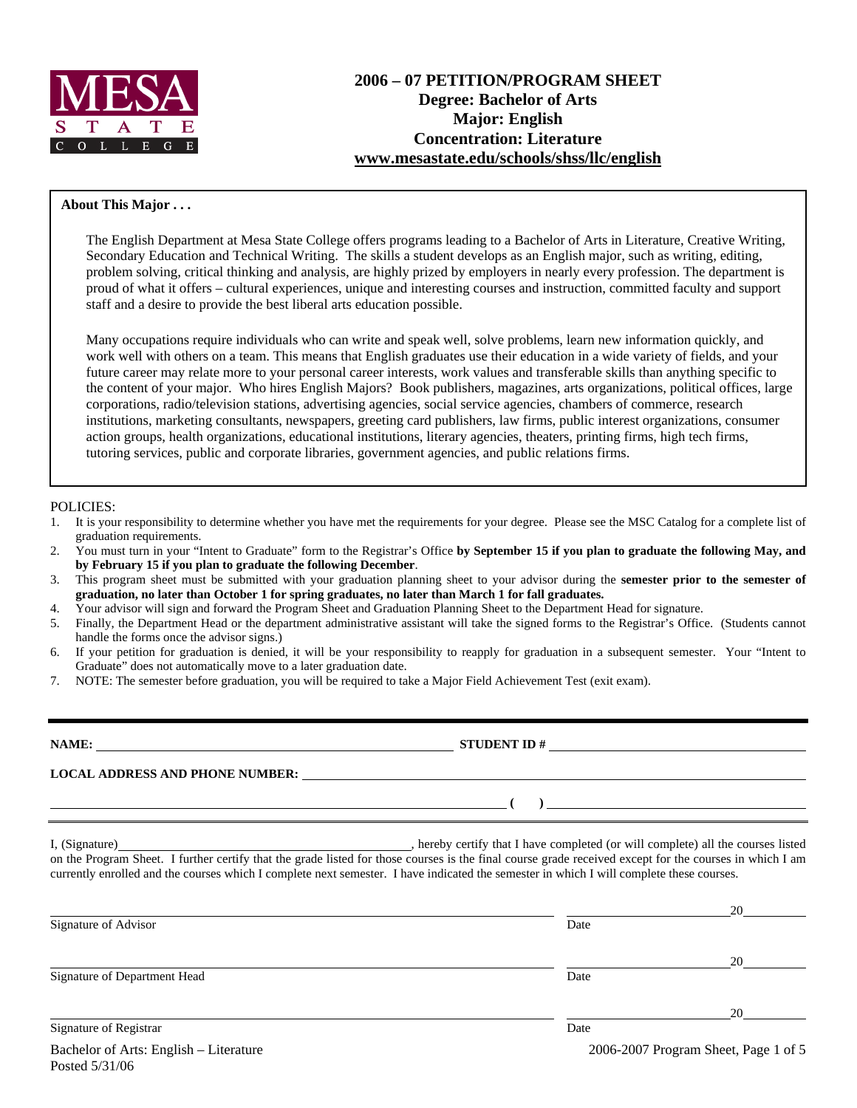

### **About This Major . . .**

The English Department at Mesa State College offers programs leading to a Bachelor of Arts in Literature, Creative Writing, Secondary Education and Technical Writing. The skills a student develops as an English major, such as writing, editing, problem solving, critical thinking and analysis, are highly prized by employers in nearly every profession. The department is proud of what it offers – cultural experiences, unique and interesting courses and instruction, committed faculty and support staff and a desire to provide the best liberal arts education possible.

Many occupations require individuals who can write and speak well, solve problems, learn new information quickly, and work well with others on a team. This means that English graduates use their education in a wide variety of fields, and your future career may relate more to your personal career interests, work values and transferable skills than anything specific to the content of your major. Who hires English Majors? Book publishers, magazines, arts organizations, political offices, large corporations, radio/television stations, advertising agencies, social service agencies, chambers of commerce, research institutions, marketing consultants, newspapers, greeting card publishers, law firms, public interest organizations, consumer action groups, health organizations, educational institutions, literary agencies, theaters, printing firms, high tech firms, tutoring services, public and corporate libraries, government agencies, and public relations firms.

#### POLICIES:

Posted 5/31/06

- 1. It is your responsibility to determine whether you have met the requirements for your degree. Please see the MSC Catalog for a complete list of graduation requirements.
- 2. You must turn in your "Intent to Graduate" form to the Registrar's Office **by September 15 if you plan to graduate the following May, and by February 15 if you plan to graduate the following December**.
- 3. This program sheet must be submitted with your graduation planning sheet to your advisor during the **semester prior to the semester of graduation, no later than October 1 for spring graduates, no later than March 1 for fall graduates.**
- 4. Your advisor will sign and forward the Program Sheet and Graduation Planning Sheet to the Department Head for signature.
- 5. Finally, the Department Head or the department administrative assistant will take the signed forms to the Registrar's Office. (Students cannot handle the forms once the advisor signs.)
- 6. If your petition for graduation is denied, it will be your responsibility to reapply for graduation in a subsequent semester. Your "Intent to Graduate" does not automatically move to a later graduation date.
- 7. NOTE: The semester before graduation, you will be required to take a Major Field Achievement Test (exit exam).

**NAME: STUDENT ID # STUDENT ID # STUDENT ID # STUDENT ID # STUDENT ID # STUDENT ID # STUDENT ID # STUDENT ID # STUDENT ID # STUDENT ID # STUDENT ID # STUDENT ID # STUDENT ID # STUDENT ID # STU LOCAL ADDRESS AND PHONE NUMBER: (** ) <u> **(** ) **d**</u> ( )  *(* **) <u><b>** ( )  *(* **)**  $\frac{1}{2}$  **(** )  *(* **)** *(* **)** *(* **)** *(* **)** *(* **)** *(* **)** *(* **)** *(* **)** *(* **)** *(* **)** *(* **)** *(* **)** *(* **)** *(* **)** *(* **)** *(* **)** *(* **)** *(* **)** *(* **)** *(* **)** *(* **)** *(* **)** *(* **)** *(* **)** *(* **)** *(*</u> I, (Signature) , hereby certify that I have completed (or will complete) all the courses listed

on the Program Sheet. I further certify that the grade listed for those courses is the final course grade received except for the courses in which I am currently enrolled and the courses which I complete next semester. I have indicated the semester in which I will complete these courses.

|                                        |      | 20                                   |
|----------------------------------------|------|--------------------------------------|
| Signature of Advisor                   | Date |                                      |
|                                        |      | 20                                   |
| Signature of Department Head           | Date |                                      |
|                                        |      | 20                                   |
| Signature of Registrar                 | Date |                                      |
| Bachelor of Arts: English – Literature |      | 2006-2007 Program Sheet, Page 1 of 5 |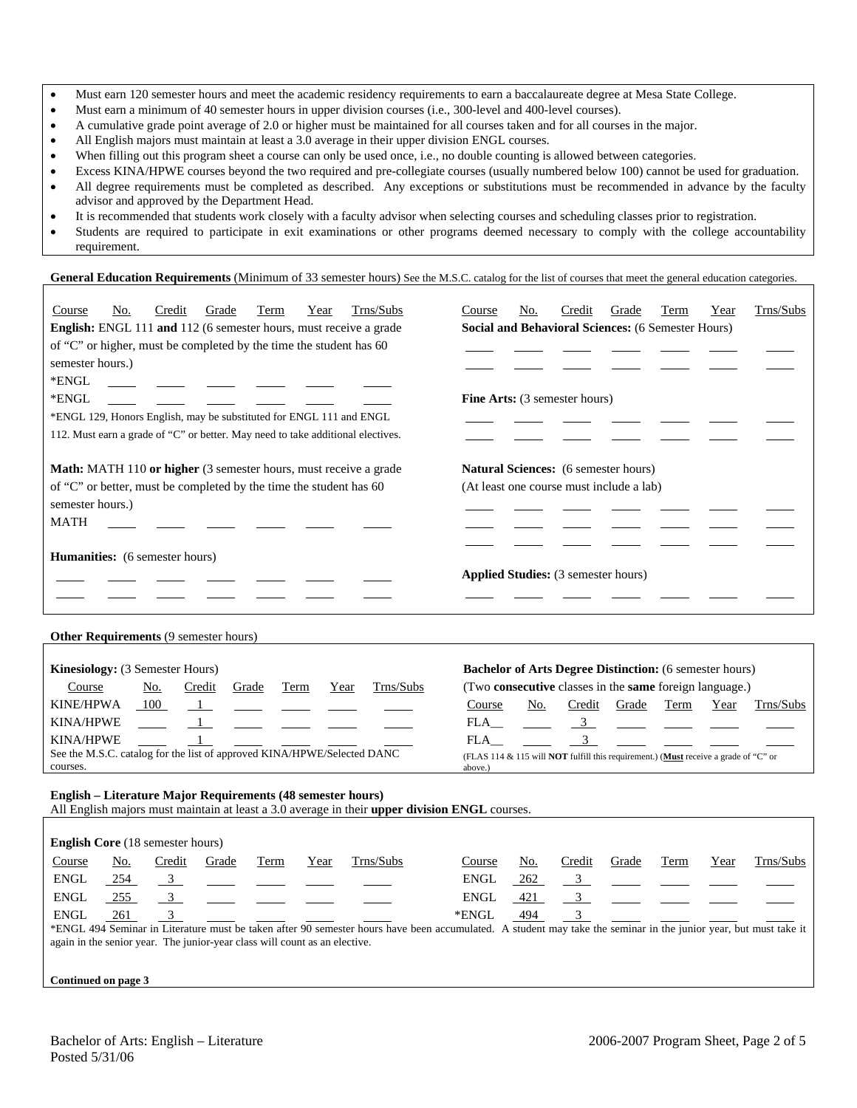- Must earn 120 semester hours and meet the academic residency requirements to earn a baccalaureate degree at Mesa State College.
- Must earn a minimum of 40 semester hours in upper division courses (i.e., 300-level and 400-level courses).
- A cumulative grade point average of 2.0 or higher must be maintained for all courses taken and for all courses in the major.
- All English majors must maintain at least a 3.0 average in their upper division ENGL courses.
- When filling out this program sheet a course can only be used once, i.e., no double counting is allowed between categories.
- Excess KINA/HPWE courses beyond the two required and pre-collegiate courses (usually numbered below 100) cannot be used for graduation.
- All degree requirements must be completed as described. Any exceptions or substitutions must be recommended in advance by the faculty advisor and approved by the Department Head.
- It is recommended that students work closely with a faculty advisor when selecting courses and scheduling classes prior to registration.
- Students are required to participate in exit examinations or other programs deemed necessary to comply with the college accountability requirement.

#### General Education Requirements (Minimum of 33 semester hours) See the M.S.C. catalog for the list of courses that meet the general education categories.

| Trns/Subs<br>Course<br>Credit<br>Grade<br>No.<br><u>Term</u><br>Year<br>English: ENGL 111 and 112 (6 semester hours, must receive a grade<br>of "C" or higher, must be completed by the time the student has 60<br>semester hours.)<br>*ENGL<br>*ENGL<br>*ENGL 129, Honors English, may be substituted for ENGL 111 and ENGL<br>112. Must earn a grade of "C" or better. May need to take additional electives. | Trns/Subs<br>Credit<br>Grade<br>Term<br>Course<br>No.<br>Year<br><b>Social and Behavioral Sciences: (6 Semester Hours)</b><br>Fine Arts: (3 semester hours) |
|-----------------------------------------------------------------------------------------------------------------------------------------------------------------------------------------------------------------------------------------------------------------------------------------------------------------------------------------------------------------------------------------------------------------|-------------------------------------------------------------------------------------------------------------------------------------------------------------|
| Math: MATH 110 or higher (3 semester hours, must receive a grade<br>of "C" or better, must be completed by the time the student has 60<br>semester hours.)<br><b>MATH</b>                                                                                                                                                                                                                                       | Natural Sciences: (6 semester hours)<br>(At least one course must include a lab)                                                                            |
| <b>Humanities:</b> (6 semester hours)                                                                                                                                                                                                                                                                                                                                                                           | <b>Applied Studies:</b> (3 semester hours)                                                                                                                  |
| <b>Other Requirements (9 semester hours)</b>                                                                                                                                                                                                                                                                                                                                                                    |                                                                                                                                                             |
| Kinesiology: (3 Semester Hours)                                                                                                                                                                                                                                                                                                                                                                                 | <b>Bachelor of Arts Degree Distinction:</b> (6 semester hours)                                                                                              |
| Trns/Subs<br>Course<br><u>No.</u><br>Credit<br>Grade<br>Term<br>Year                                                                                                                                                                                                                                                                                                                                            | (Two consecutive classes in the same foreign language.)                                                                                                     |
| KINE/HPWA<br>100<br>$\mathbf{1}$<br>KINA/HPWE<br>$\mathbf{1}$                                                                                                                                                                                                                                                                                                                                                   | Course<br>No.<br>Credit<br>Trns/Subs<br>Grade<br>Term<br>Year<br>$\frac{3}{ }$<br>FLA —                                                                     |
| <b>KINA/HPWE</b>                                                                                                                                                                                                                                                                                                                                                                                                | 3 <sup>7</sup><br>FLA                                                                                                                                       |
| See the M.S.C. catalog for the list of approved KINA/HPWE/Selected DANC<br>courses.                                                                                                                                                                                                                                                                                                                             | (FLAS 114 & 115 will NOT fulfill this requirement.) (Must receive a grade of "C" or<br>above.)                                                              |
| English - Literature Major Requirements (48 semester hours)<br>All English majors must maintain at least a 3.0 average in their upper division ENGL courses.                                                                                                                                                                                                                                                    |                                                                                                                                                             |
| English Core (18 semester hours)                                                                                                                                                                                                                                                                                                                                                                                |                                                                                                                                                             |
| Trns/Subs<br>Course<br>No.<br>Credit<br>Grade<br>Term<br>Year                                                                                                                                                                                                                                                                                                                                                   | Trns/Subs<br>Course<br>No.<br>Credit<br>Grade<br>Term<br>Year                                                                                               |
| ENGL<br>254<br>$\frac{3}{2}$                                                                                                                                                                                                                                                                                                                                                                                    | <b>ENGL</b><br>262<br>3 <sup>1</sup>                                                                                                                        |
| <b>ENGL</b><br>255<br>$\overline{\mathbf{3}}$                                                                                                                                                                                                                                                                                                                                                                   | <b>ENGL</b><br>421<br>3 <sup>7</sup>                                                                                                                        |
| ENGL<br>261<br>3                                                                                                                                                                                                                                                                                                                                                                                                | *ENGL<br>494<br>3                                                                                                                                           |
| *ENGL 494 Seminar in Literature must be taken after 90 semester hours have been accumulated. A student may take the seminar in the junior year, but must take it<br>again in the senior year. The junior-year class will count as an elective.                                                                                                                                                                  |                                                                                                                                                             |

**Continued on page 3**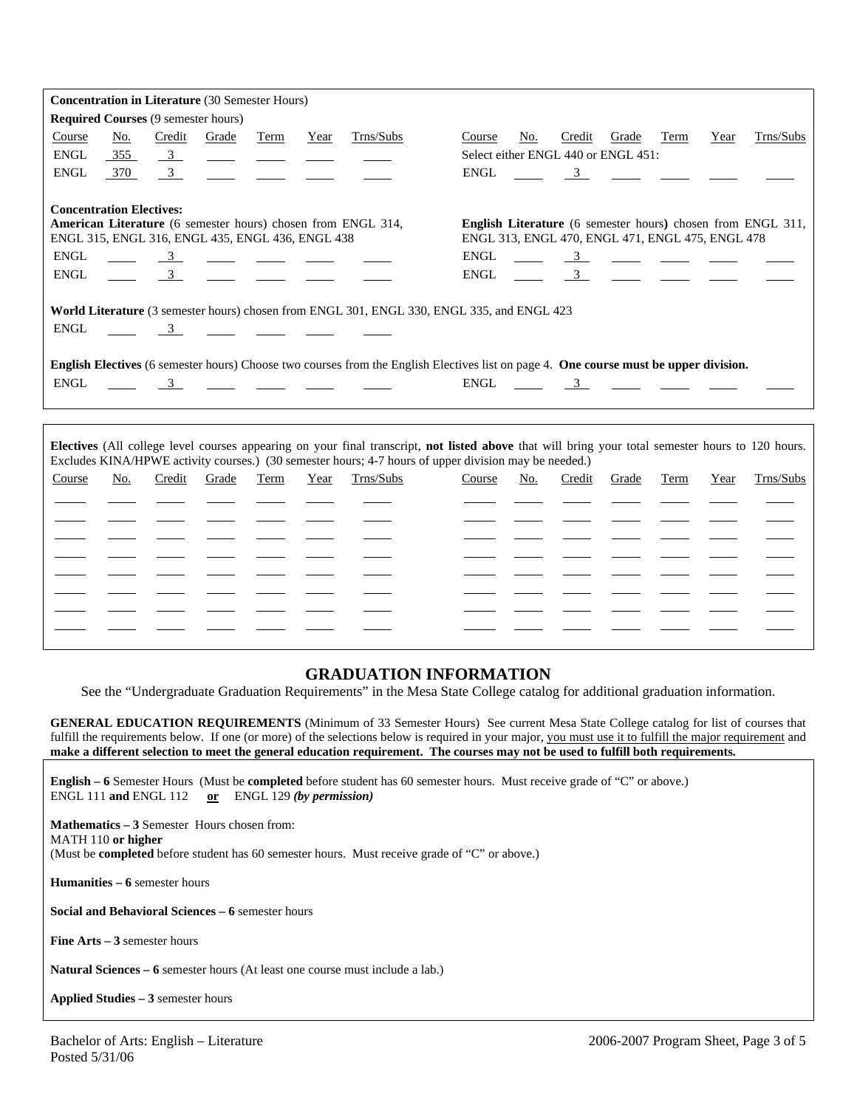|             |                                 |                                            | <b>Concentration in Literature (30 Semester Hours)</b>                                                                                                                                                                               |                                                       |      |                                                                                                                                                                                                                                                                                                                                                                      |                                                                 |     |        |                                                                                                                                                                                                                                                                                                                     |      |      |                                                             |
|-------------|---------------------------------|--------------------------------------------|--------------------------------------------------------------------------------------------------------------------------------------------------------------------------------------------------------------------------------------|-------------------------------------------------------|------|----------------------------------------------------------------------------------------------------------------------------------------------------------------------------------------------------------------------------------------------------------------------------------------------------------------------------------------------------------------------|-----------------------------------------------------------------|-----|--------|---------------------------------------------------------------------------------------------------------------------------------------------------------------------------------------------------------------------------------------------------------------------------------------------------------------------|------|------|-------------------------------------------------------------|
|             |                                 | <b>Required Courses (9 semester hours)</b> |                                                                                                                                                                                                                                      |                                                       |      |                                                                                                                                                                                                                                                                                                                                                                      |                                                                 |     |        |                                                                                                                                                                                                                                                                                                                     |      |      |                                                             |
| Course      | No.                             | Credit                                     | Grade                                                                                                                                                                                                                                | Term                                                  | Year | Trns/Subs                                                                                                                                                                                                                                                                                                                                                            | Course                                                          | No. | Credit | Grade                                                                                                                                                                                                                                                                                                               | Term | Year | Trns/Subs                                                   |
| <b>ENGL</b> | 355                             | $\overline{\mathbf{3}}$                    |                                                                                                                                                                                                                                      | $\overline{\phantom{a}}$ and $\overline{\phantom{a}}$ |      |                                                                                                                                                                                                                                                                                                                                                                      |                                                                 |     |        | Select either ENGL 440 or ENGL 451:                                                                                                                                                                                                                                                                                 |      |      |                                                             |
| <b>ENGL</b> | 370                             | 3                                          |                                                                                                                                                                                                                                      |                                                       |      |                                                                                                                                                                                                                                                                                                                                                                      | <b>ENGL</b>                                                     |     | 3      | <u> 1999 - Jan Barbara Barbara, maso a sensa de la provincia de la provincia de la provincia de la provincia de l</u>                                                                                                                                                                                               |      |      |                                                             |
|             |                                 |                                            |                                                                                                                                                                                                                                      |                                                       |      |                                                                                                                                                                                                                                                                                                                                                                      |                                                                 |     |        |                                                                                                                                                                                                                                                                                                                     |      |      |                                                             |
|             | <b>Concentration Electives:</b> |                                            |                                                                                                                                                                                                                                      |                                                       |      |                                                                                                                                                                                                                                                                                                                                                                      |                                                                 |     |        |                                                                                                                                                                                                                                                                                                                     |      |      |                                                             |
|             |                                 |                                            |                                                                                                                                                                                                                                      |                                                       |      | American Literature (6 semester hours) chosen from ENGL 314,                                                                                                                                                                                                                                                                                                         |                                                                 |     |        |                                                                                                                                                                                                                                                                                                                     |      |      | English Literature (6 semester hours) chosen from ENGL 311, |
| <b>ENGL</b> |                                 |                                            | ENGL 315, ENGL 316, ENGL 435, ENGL 436, ENGL 438                                                                                                                                                                                     |                                                       |      |                                                                                                                                                                                                                                                                                                                                                                      | ENGL 313, ENGL 470, ENGL 471, ENGL 475, ENGL 478<br><b>ENGL</b> |     |        |                                                                                                                                                                                                                                                                                                                     |      |      |                                                             |
| <b>ENGL</b> |                                 |                                            |                                                                                                                                                                                                                                      |                                                       |      | $\frac{3}{\sqrt{2}}$ $\frac{3}{\sqrt{2}}$ $\frac{3}{\sqrt{2}}$ $\frac{3}{\sqrt{2}}$ $\frac{3}{\sqrt{2}}$ $\frac{3}{\sqrt{2}}$ $\frac{3}{\sqrt{2}}$ $\frac{3}{\sqrt{2}}$ $\frac{3}{\sqrt{2}}$ $\frac{3}{\sqrt{2}}$ $\frac{3}{\sqrt{2}}$ $\frac{3}{\sqrt{2}}$ $\frac{3}{\sqrt{2}}$ $\frac{3}{\sqrt{2}}$ $\frac{3}{\sqrt{2}}$ $\frac{3}{\sqrt{2}}$ $\frac{3}{\sqrt{2}}$ | <b>ENGL</b>                                                     |     |        | $\frac{3}{2}$ $\frac{3}{2}$ $\frac{3}{2}$ $\frac{3}{2}$ $\frac{3}{2}$ $\frac{3}{2}$ $\frac{3}{2}$ $\frac{3}{2}$ $\frac{3}{2}$ $\frac{3}{2}$ $\frac{3}{2}$ $\frac{3}{2}$ $\frac{3}{2}$ $\frac{3}{2}$ $\frac{3}{2}$ $\frac{3}{2}$ $\frac{3}{2}$ $\frac{3}{2}$ $\frac{3}{2}$ $\frac{3}{2}$ $\frac{3}{2}$ $\frac{3}{2}$ |      |      |                                                             |
|             |                                 |                                            |                                                                                                                                                                                                                                      |                                                       |      | $\frac{3}{2}$ $\frac{1}{2}$ $\frac{1}{2}$ $\frac{1}{2}$ $\frac{1}{2}$ $\frac{1}{2}$                                                                                                                                                                                                                                                                                  |                                                                 |     |        | $\frac{3}{2}$ $\frac{3}{2}$ $\frac{3}{2}$ $\frac{3}{2}$ $\frac{3}{2}$ $\frac{3}{2}$ $\frac{3}{2}$ $\frac{3}{2}$ $\frac{3}{2}$ $\frac{3}{2}$ $\frac{3}{2}$ $\frac{3}{2}$ $\frac{3}{2}$ $\frac{3}{2}$ $\frac{3}{2}$ $\frac{3}{2}$ $\frac{3}{2}$ $\frac{3}{2}$ $\frac{3}{2}$ $\frac{3}{2}$ $\frac{3}{2}$ $\frac{3}{2}$ |      |      |                                                             |
|             |                                 |                                            |                                                                                                                                                                                                                                      |                                                       |      | World Literature (3 semester hours) chosen from ENGL 301, ENGL 330, ENGL 335, and ENGL 423                                                                                                                                                                                                                                                                           |                                                                 |     |        |                                                                                                                                                                                                                                                                                                                     |      |      |                                                             |
| <b>ENGL</b> |                                 |                                            |                                                                                                                                                                                                                                      |                                                       |      |                                                                                                                                                                                                                                                                                                                                                                      |                                                                 |     |        |                                                                                                                                                                                                                                                                                                                     |      |      |                                                             |
|             |                                 | $\sim$ 3                                   | <u> 1980 - Andrea Station Books and the Books and the Books and the Books and the Books and the Books and the Books and the Books and the Books and the Books and the Books and the Books and the Books and the Books and the Bo</u> |                                                       |      |                                                                                                                                                                                                                                                                                                                                                                      |                                                                 |     |        |                                                                                                                                                                                                                                                                                                                     |      |      |                                                             |
|             |                                 |                                            |                                                                                                                                                                                                                                      |                                                       |      | English Electives (6 semester hours) Choose two courses from the English Electives list on page 4. One course must be upper division.                                                                                                                                                                                                                                |                                                                 |     |        |                                                                                                                                                                                                                                                                                                                     |      |      |                                                             |
| <b>ENGL</b> |                                 |                                            |                                                                                                                                                                                                                                      |                                                       |      |                                                                                                                                                                                                                                                                                                                                                                      | ENGL                                                            |     |        | $\frac{3}{\sqrt{2}}$ $\frac{3}{\sqrt{2}}$ $\frac{3}{\sqrt{2}}$ $\frac{3}{\sqrt{2}}$                                                                                                                                                                                                                                 |      |      |                                                             |
|             |                                 |                                            |                                                                                                                                                                                                                                      |                                                       |      |                                                                                                                                                                                                                                                                                                                                                                      |                                                                 |     |        |                                                                                                                                                                                                                                                                                                                     |      |      |                                                             |
|             |                                 |                                            |                                                                                                                                                                                                                                      |                                                       |      |                                                                                                                                                                                                                                                                                                                                                                      |                                                                 |     |        |                                                                                                                                                                                                                                                                                                                     |      |      |                                                             |
|             |                                 |                                            |                                                                                                                                                                                                                                      |                                                       |      |                                                                                                                                                                                                                                                                                                                                                                      |                                                                 |     |        |                                                                                                                                                                                                                                                                                                                     |      |      |                                                             |
|             |                                 |                                            |                                                                                                                                                                                                                                      |                                                       |      | Electives (All college level courses appearing on your final transcript, not listed above that will bring your total semester hours to 120 hours.<br>Excludes KINA/HPWE activity courses.) (30 semester hours; 4-7 hours of upper division may be needed.)                                                                                                           |                                                                 |     |        |                                                                                                                                                                                                                                                                                                                     |      |      |                                                             |
| Course      | No.                             | Credit                                     | Grade                                                                                                                                                                                                                                | Term                                                  | Year | Trns/Subs                                                                                                                                                                                                                                                                                                                                                            | Course                                                          | No. | Credit | Grade                                                                                                                                                                                                                                                                                                               | Term | Year | Trns/Subs                                                   |
|             |                                 |                                            |                                                                                                                                                                                                                                      |                                                       |      |                                                                                                                                                                                                                                                                                                                                                                      |                                                                 |     |        |                                                                                                                                                                                                                                                                                                                     |      |      |                                                             |
|             |                                 |                                            |                                                                                                                                                                                                                                      |                                                       |      |                                                                                                                                                                                                                                                                                                                                                                      |                                                                 |     |        |                                                                                                                                                                                                                                                                                                                     |      |      |                                                             |
|             |                                 |                                            |                                                                                                                                                                                                                                      |                                                       |      |                                                                                                                                                                                                                                                                                                                                                                      |                                                                 |     |        |                                                                                                                                                                                                                                                                                                                     |      |      |                                                             |
|             |                                 |                                            |                                                                                                                                                                                                                                      |                                                       |      |                                                                                                                                                                                                                                                                                                                                                                      |                                                                 |     |        |                                                                                                                                                                                                                                                                                                                     |      |      |                                                             |
|             |                                 |                                            |                                                                                                                                                                                                                                      |                                                       |      |                                                                                                                                                                                                                                                                                                                                                                      |                                                                 |     |        |                                                                                                                                                                                                                                                                                                                     |      |      |                                                             |
|             |                                 |                                            |                                                                                                                                                                                                                                      |                                                       |      |                                                                                                                                                                                                                                                                                                                                                                      |                                                                 |     |        |                                                                                                                                                                                                                                                                                                                     |      |      |                                                             |
|             |                                 |                                            |                                                                                                                                                                                                                                      |                                                       |      |                                                                                                                                                                                                                                                                                                                                                                      |                                                                 |     |        |                                                                                                                                                                                                                                                                                                                     |      |      |                                                             |
|             |                                 |                                            |                                                                                                                                                                                                                                      |                                                       |      |                                                                                                                                                                                                                                                                                                                                                                      |                                                                 |     |        |                                                                                                                                                                                                                                                                                                                     |      |      |                                                             |

# **GRADUATION INFORMATION**

See the "Undergraduate Graduation Requirements" in the Mesa State College catalog for additional graduation information.

**GENERAL EDUCATION REQUIREMENTS** (Minimum of 33 Semester Hours) See current Mesa State College catalog for list of courses that fulfill the requirements below. If one (or more) of the selections below is required in your major, you must use it to fulfill the major requirement and **make a different selection to meet the general education requirement. The courses may not be used to fulfill both requirements.**

**English – 6** Semester Hours (Must be **completed** before student has 60 semester hours. Must receive grade of "C" or above.) ENGL 111 **and** ENGL 112 **or** ENGL 129 *(by permission)*

**Mathematics – 3** Semester Hours chosen from: MATH 110 **or higher** (Must be **completed** before student has 60 semester hours. Must receive grade of "C" or above.)

**Humanities – 6** semester hours

**Social and Behavioral Sciences – 6** semester hours

**Fine Arts – 3** semester hours

**Natural Sciences – 6** semester hours (At least one course must include a lab.)

**Applied Studies – 3** semester hours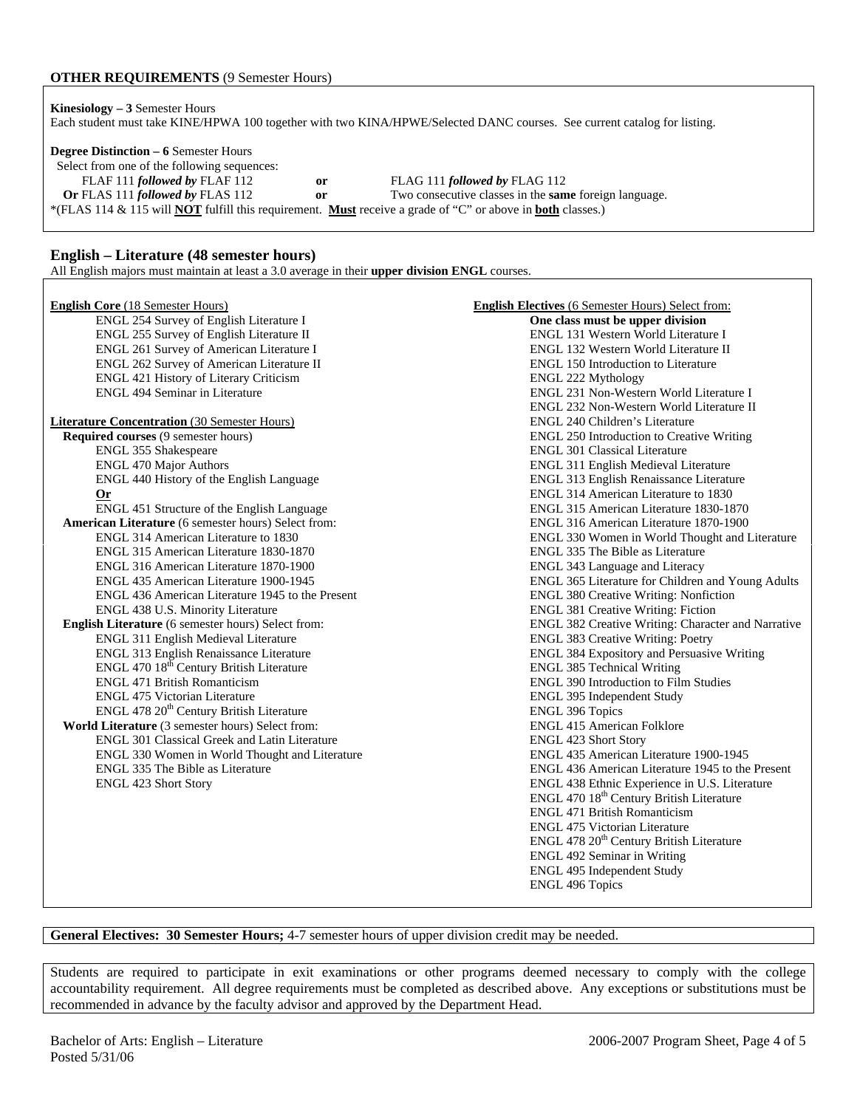### **OTHER REQUIREMENTS** (9 Semester Hours)

| <b>Kinesiology</b> $-3$ Semester Hours                                                                                   |  |
|--------------------------------------------------------------------------------------------------------------------------|--|
| Each student must take KINE/HPWA 100 together with two KINA/HPWE/Selected DANC courses. See current catalog for listing. |  |

**Degree Distinction – 6** Semester Hours Select from one of the following sequences: FLAF 111 *followed by* FLAF 112 **or** FLAG 111 *followed by* FLAG 112 **Or** FLAS 111 *followed by* FLAS 112 **or** Two consecutive classes in the **same** foreign language. \*(FLAS 114 & 115 will **NOT** fulfill this requirement. **Must** receive a grade of "C" or above in **both** classes.)

### **English – Literature (48 semester hours)**

All English majors must maintain at least a 3.0 average in their **upper division ENGL** courses.

| <b>English Core (18 Semester Hours)</b><br>ENGL 254 Survey of English Literature I | <b>English Electives</b> (6 Semester Hours) Select from:<br>One class must be upper division |
|------------------------------------------------------------------------------------|----------------------------------------------------------------------------------------------|
| ENGL 255 Survey of English Literature II                                           | ENGL 131 Western World Literature I                                                          |
|                                                                                    | ENGL 132 Western World Literature II                                                         |
| ENGL 261 Survey of American Literature I                                           |                                                                                              |
| ENGL 262 Survey of American Literature II                                          | ENGL 150 Introduction to Literature                                                          |
| ENGL 421 History of Literary Criticism                                             | ENGL 222 Mythology                                                                           |
| <b>ENGL 494 Seminar in Literature</b>                                              | ENGL 231 Non-Western World Literature I                                                      |
|                                                                                    | ENGL 232 Non-Western World Literature II                                                     |
| <b>Literature Concentration (30 Semester Hours)</b>                                | ENGL 240 Children's Literature                                                               |
| <b>Required courses (9 semester hours)</b>                                         | <b>ENGL 250 Introduction to Creative Writing</b>                                             |
| ENGL 355 Shakespeare                                                               | <b>ENGL 301 Classical Literature</b>                                                         |
| <b>ENGL 470 Major Authors</b>                                                      | ENGL 311 English Medieval Literature                                                         |
| ENGL 440 History of the English Language                                           | ENGL 313 English Renaissance Literature                                                      |
| $Or$                                                                               | ENGL 314 American Literature to 1830                                                         |
| ENGL 451 Structure of the English Language                                         | ENGL 315 American Literature 1830-1870                                                       |
| American Literature (6 semester hours) Select from:                                | ENGL 316 American Literature 1870-1900                                                       |
| ENGL 314 American Literature to 1830                                               | ENGL 330 Women in World Thought and Literature                                               |
| ENGL 315 American Literature 1830-1870                                             | ENGL 335 The Bible as Literature                                                             |
| ENGL 316 American Literature 1870-1900                                             | ENGL 343 Language and Literacy                                                               |
| ENGL 435 American Literature 1900-1945                                             | ENGL 365 Literature for Children and Young Adults                                            |
| ENGL 436 American Literature 1945 to the Present                                   | <b>ENGL 380 Creative Writing: Nonfiction</b>                                                 |
| ENGL 438 U.S. Minority Literature                                                  | <b>ENGL 381 Creative Writing: Fiction</b>                                                    |
| <b>English Literature</b> (6 semester hours) Select from:                          | ENGL 382 Creative Writing: Character and Narrative                                           |
| ENGL 311 English Medieval Literature                                               | <b>ENGL 383 Creative Writing: Poetry</b>                                                     |
| ENGL 313 English Renaissance Literature                                            | ENGL 384 Expository and Persuasive Writing                                                   |
| ENGL 470 18 <sup>th</sup> Century British Literature                               | <b>ENGL 385 Technical Writing</b>                                                            |
| <b>ENGL 471 British Romanticism</b>                                                | ENGL 390 Introduction to Film Studies                                                        |
| <b>ENGL 475 Victorian Literature</b>                                               | ENGL 395 Independent Study                                                                   |
| ENGL 478 20 <sup>th</sup> Century British Literature                               | <b>ENGL 396 Topics</b>                                                                       |
| World Literature (3 semester hours) Select from:                                   | <b>ENGL 415 American Folklore</b>                                                            |
| <b>ENGL 301 Classical Greek and Latin Literature</b>                               | <b>ENGL 423 Short Story</b>                                                                  |
| ENGL 330 Women in World Thought and Literature                                     | ENGL 435 American Literature 1900-1945                                                       |
| ENGL 335 The Bible as Literature                                                   | ENGL 436 American Literature 1945 to the Present                                             |
| <b>ENGL 423 Short Story</b>                                                        | ENGL 438 Ethnic Experience in U.S. Literature                                                |
|                                                                                    | ENGL 470 18th Century British Literature                                                     |
|                                                                                    | ENGL 471 British Romanticism                                                                 |
|                                                                                    | <b>ENGL 475 Victorian Literature</b>                                                         |
|                                                                                    | ENGL 478 20 <sup>th</sup> Century British Literature                                         |
|                                                                                    | ENGL 492 Seminar in Writing                                                                  |
|                                                                                    | ENGL 495 Independent Study                                                                   |
|                                                                                    |                                                                                              |
|                                                                                    | <b>ENGL 496 Topics</b>                                                                       |

**General Electives: 30 Semester Hours;** 4-7 semester hours of upper division credit may be needed.

Students are required to participate in exit examinations or other programs deemed necessary to comply with the college accountability requirement. All degree requirements must be completed as described above. Any exceptions or substitutions must be recommended in advance by the faculty advisor and approved by the Department Head.